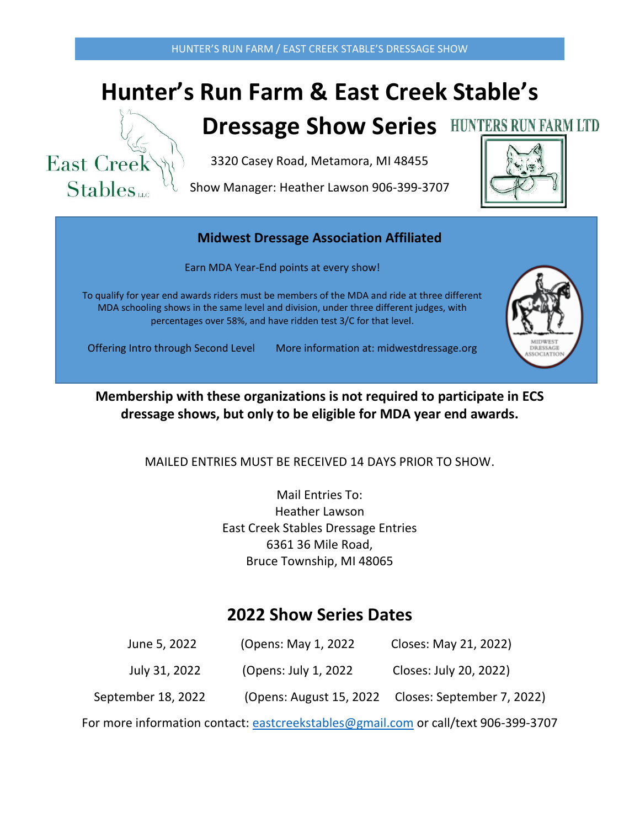# **Hunter's Run Farm & East Creek Stable's**



## **Dressage Show Series**

3320 Casey Road, Metamora, MI 48455

Show Manager: Heather Lawson 906-399-3707



#### **Midwest Dressage Association Affiliated**

Earn MDA Year-End points at every show!

To qualify for year end awards riders must be members of the MDA and ride at three different MDA schooling shows in the same level and division, under three different judges, with percentages over 58%, and have ridden test 3/C for that level.



Offering Intro through Second Level More information at: midwestdressage.org

**Membership with these organizations is not required to participate in ECS dressage shows, but only to be eligible for MDA year end awards.**

MAILED ENTRIES MUST BE RECEIVED 14 DAYS PRIOR TO SHOW.

Mail Entries To: Heather Lawson East Creek Stables Dressage Entries 6361 36 Mile Road, Bruce Township, MI 48065

### **2022 Show Series Dates**

| June 5, 2022       | (Opens: May 1, 2022)  | Closes: May 21, 2022)                              |
|--------------------|-----------------------|----------------------------------------------------|
| July 31, 2022      | (Opens: July 1, 2022) | Closes: July 20, 2022)                             |
| September 18, 2022 |                       | (Opens: August 15, 2022 Closes: September 7, 2022) |

For more information contact: [eastcreekstables@gmail.com](mailto:eastcreekstables@gmail.com) or call/text 906-399-3707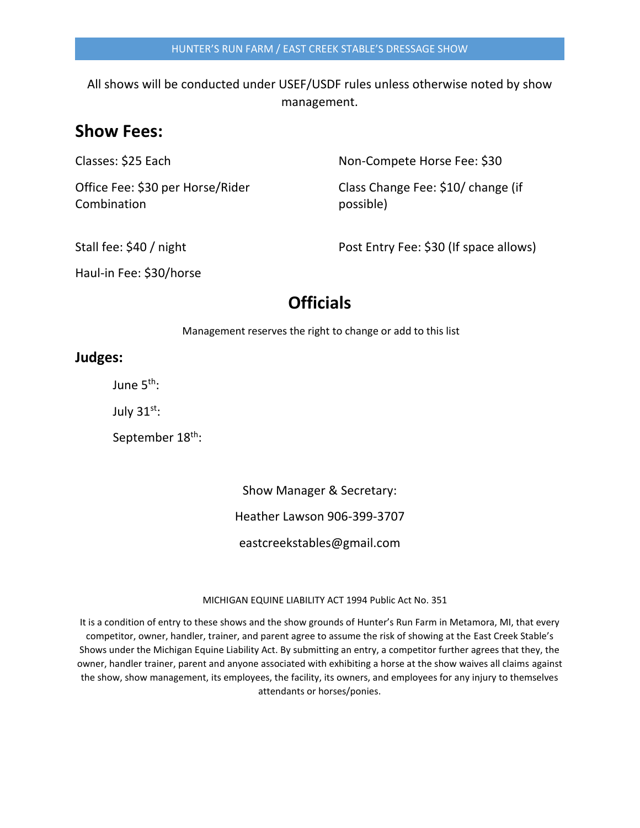All shows will be conducted under USEF/USDF rules unless otherwise noted by show management.

#### **Show Fees:**

Combination **possible**)

Classes: \$25 Each Non-Compete Horse Fee: \$30

Office Fee: \$30 per Horse/Rider Class Change Fee: \$10/ change (if

Stall fee: \$40 / night Post Entry Fee: \$30 (If space allows)

Haul-in Fee: \$30/horse

### **Officials**

Management reserves the right to change or add to this list

#### **Judges:**

June 5<sup>th</sup>:

July  $31^{st}$ :

September 18<sup>th</sup>:

Show Manager & Secretary:

Heather Lawson 906-399-3707

eastcreekstables@gmail.com

#### 10MICHIGAN EQUINE LIABILITY ACT 1994 Public Act No. 351

It is a condition of entry to these shows and the show grounds of Hunter's Run Farm in Metamora, MI, that every competitor, owner, handler, trainer, and parent agree to assume the risk of showing at the East Creek Stable's Shows under the Michigan Equine Liability Act. By submitting an entry, a competitor further agrees that they, the owner, handler trainer, parent and anyone associated with exhibiting a horse at the show waives all claims against the show, show management, its employees, the facility, its owners, and employees for any injury to themselves attendants or horses/ponies.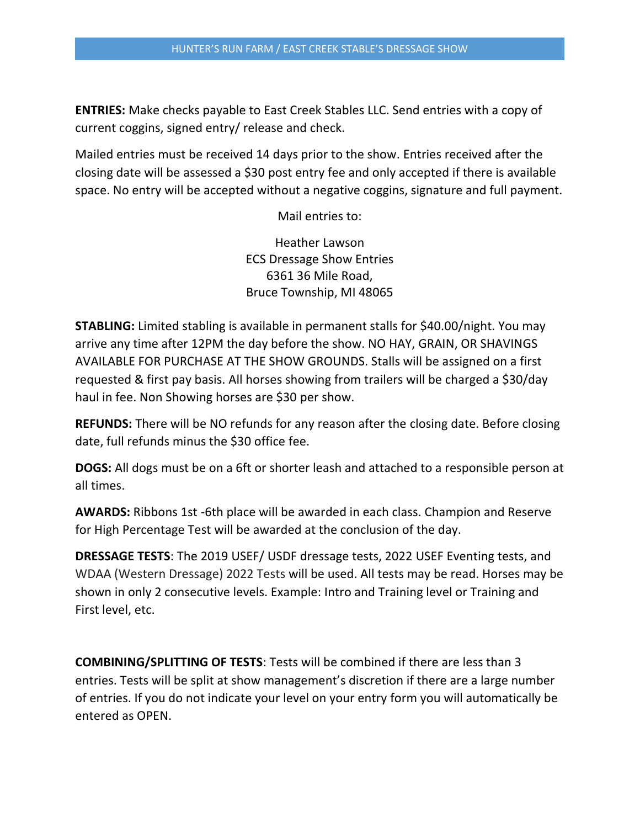**ENTRIES:** Make checks payable to East Creek Stables LLC. Send entries with a copy of current coggins, signed entry/ release and check.

Mailed entries must be received 14 days prior to the show. Entries received after the closing date will be assessed a \$30 post entry fee and only accepted if there is available space. No entry will be accepted without a negative coggins, signature and full payment.

Mail entries to:

Heather Lawson ECS Dressage Show Entries 6361 36 Mile Road, Bruce Township, MI 48065

**STABLING:** Limited stabling is available in permanent stalls for \$40.00/night. You may arrive any time after 12PM the day before the show. NO HAY, GRAIN, OR SHAVINGS AVAILABLE FOR PURCHASE AT THE SHOW GROUNDS. Stalls will be assigned on a first requested & first pay basis. All horses showing from trailers will be charged a \$30/day haul in fee. Non Showing horses are \$30 per show.

**REFUNDS:** There will be NO refunds for any reason after the closing date. Before closing date, full refunds minus the \$30 office fee.

**DOGS:** All dogs must be on a 6ft or shorter leash and attached to a responsible person at all times.

**AWARDS:** Ribbons 1st -6th place will be awarded in each class. Champion and Reserve for High Percentage Test will be awarded at the conclusion of the day.

**DRESSAGE TESTS**: The 2019 USEF/ USDF dressage tests, 2022 USEF Eventing tests, and WDAA (Western Dressage) 2022 Tests will be used. All tests may be read. Horses may be shown in only 2 consecutive levels. Example: Intro and Training level or Training and First level, etc.

**COMBINING/SPLITTING OF TESTS**: Tests will be combined if there are less than 3 entries. Tests will be split at show management's discretion if there are a large number of entries. If you do not indicate your level on your entry form you will automatically be entered as OPEN.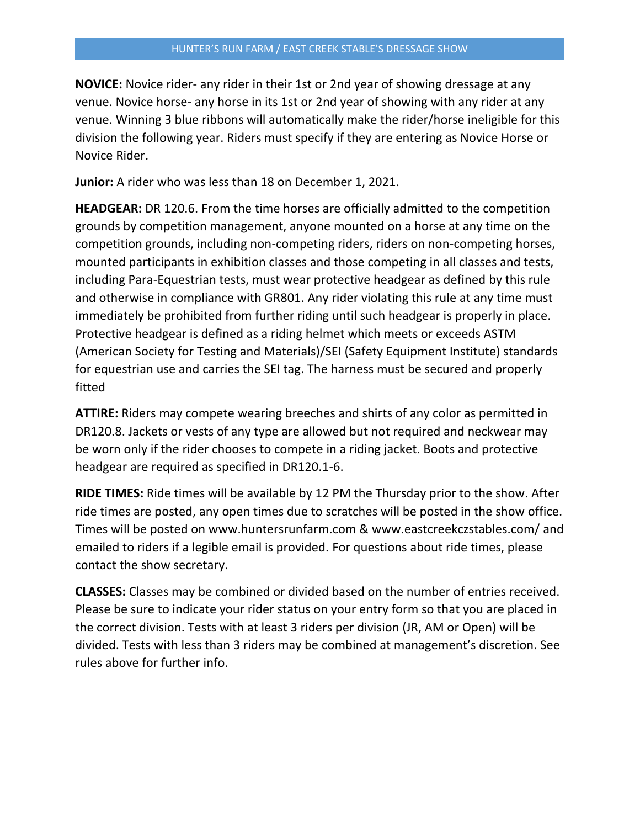**NOVICE:** Novice rider- any rider in their 1st or 2nd year of showing dressage at any venue. Novice horse- any horse in its 1st or 2nd year of showing with any rider at any venue. Winning 3 blue ribbons will automatically make the rider/horse ineligible for this division the following year. Riders must specify if they are entering as Novice Horse or Novice Rider.

**Junior:** A rider who was less than 18 on December 1, 2021.

**HEADGEAR:** DR 120.6. From the time horses are officially admitted to the competition grounds by competition management, anyone mounted on a horse at any time on the competition grounds, including non-competing riders, riders on non-competing horses, mounted participants in exhibition classes and those competing in all classes and tests, including Para-Equestrian tests, must wear protective headgear as defined by this rule and otherwise in compliance with GR801. Any rider violating this rule at any time must immediately be prohibited from further riding until such headgear is properly in place. Protective headgear is defined as a riding helmet which meets or exceeds ASTM (American Society for Testing and Materials)/SEI (Safety Equipment Institute) standards for equestrian use and carries the SEI tag. The harness must be secured and properly fitted

**ATTIRE:** Riders may compete wearing breeches and shirts of any color as permitted in DR120.8. Jackets or vests of any type are allowed but not required and neckwear may be worn only if the rider chooses to compete in a riding jacket. Boots and protective headgear are required as specified in DR120.1-6.

**RIDE TIMES:** Ride times will be available by 12 PM the Thursday prior to the show. After ride times are posted, any open times due to scratches will be posted in the show office. Times will be posted on www.huntersrunfarm.com & www.eastcreekczstables.com/ and emailed to riders if a legible email is provided. For questions about ride times, please contact the show secretary.

**CLASSES:** Classes may be combined or divided based on the number of entries received. Please be sure to indicate your rider status on your entry form so that you are placed in the correct division. Tests with at least 3 riders per division (JR, AM or Open) will be divided. Tests with less than 3 riders may be combined at management's discretion. See rules above for further info.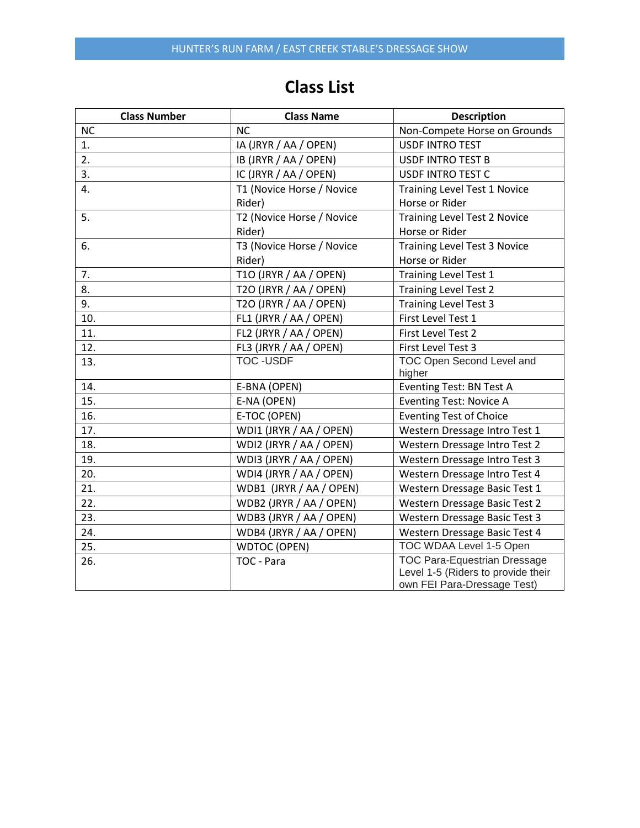### **Class List**

| <b>Class Number</b> | <b>Class Name</b>         | <b>Description</b>                                                                                       |
|---------------------|---------------------------|----------------------------------------------------------------------------------------------------------|
| <b>NC</b>           | <b>NC</b>                 | Non-Compete Horse on Grounds                                                                             |
| 1.                  | IA (JRYR / AA / OPEN)     | <b>USDF INTRO TEST</b>                                                                                   |
| 2.                  | IB (JRYR / AA / OPEN)     | <b>USDF INTRO TEST B</b>                                                                                 |
| 3.                  | IC (JRYR / AA / OPEN)     | <b>USDF INTRO TEST C</b>                                                                                 |
| 4.                  | T1 (Novice Horse / Novice | <b>Training Level Test 1 Novice</b>                                                                      |
|                     | Rider)                    | Horse or Rider                                                                                           |
| 5.                  | T2 (Novice Horse / Novice | <b>Training Level Test 2 Novice</b>                                                                      |
|                     | Rider)                    | Horse or Rider                                                                                           |
| 6.                  | T3 (Novice Horse / Novice | <b>Training Level Test 3 Novice</b>                                                                      |
|                     | Rider)                    | Horse or Rider                                                                                           |
| 7.                  | T10 (JRYR / AA / OPEN)    | <b>Training Level Test 1</b>                                                                             |
| 8.                  | T2O (JRYR / AA / OPEN)    | <b>Training Level Test 2</b>                                                                             |
| 9.                  | T2O (JRYR / AA / OPEN)    | <b>Training Level Test 3</b>                                                                             |
| 10.                 | FL1 (JRYR / AA / OPEN)    | First Level Test 1                                                                                       |
| 11.                 | FL2 (JRYR / AA / OPEN)    | First Level Test 2                                                                                       |
| 12.                 | FL3 (JRYR / AA / OPEN)    | First Level Test 3                                                                                       |
| 13.                 | <b>TOC-USDF</b>           | TOC Open Second Level and<br>higher                                                                      |
| 14.                 | E-BNA (OPEN)              | Eventing Test: BN Test A                                                                                 |
| 15.                 | E-NA (OPEN)               | <b>Eventing Test: Novice A</b>                                                                           |
| 16.                 | E-TOC (OPEN)              | <b>Eventing Test of Choice</b>                                                                           |
| 17.                 | WDI1 (JRYR / AA / OPEN)   | Western Dressage Intro Test 1                                                                            |
| 18.                 | WDI2 (JRYR / AA / OPEN)   | Western Dressage Intro Test 2                                                                            |
| 19.                 | WDI3 (JRYR / AA / OPEN)   | Western Dressage Intro Test 3                                                                            |
| 20.                 | WDI4 (JRYR / AA / OPEN)   | Western Dressage Intro Test 4                                                                            |
| 21.                 | WDB1 (JRYR / AA / OPEN)   | Western Dressage Basic Test 1                                                                            |
| 22.                 | WDB2 (JRYR / AA / OPEN)   | Western Dressage Basic Test 2                                                                            |
| 23.                 | WDB3 (JRYR / AA / OPEN)   | Western Dressage Basic Test 3                                                                            |
| 24.                 | WDB4 (JRYR / AA / OPEN)   | Western Dressage Basic Test 4                                                                            |
| 25.                 | <b>WDTOC (OPEN)</b>       | TOC WDAA Level 1-5 Open                                                                                  |
| 26.                 | TOC - Para                | <b>TOC Para-Equestrian Dressage</b><br>Level 1-5 (Riders to provide their<br>own FEI Para-Dressage Test) |